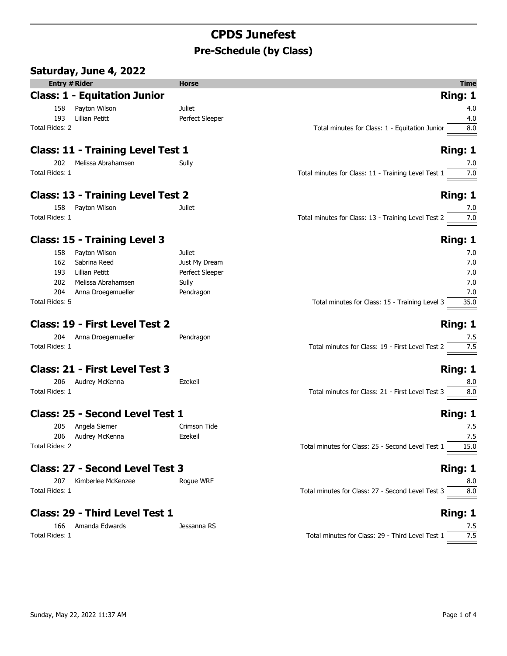# **CPDS Junefest Pre-Schedule (by Class)**

| Saturday, June 4, 2022                   |                 |                                                            |
|------------------------------------------|-----------------|------------------------------------------------------------|
| <b>Entry # Rider</b>                     | <b>Horse</b>    | Time                                                       |
| <b>Class: 1 - Equitation Junior</b>      |                 | Ring: 1                                                    |
| 158<br>Payton Wilson                     | Juliet          | 4.0                                                        |
| Lillian Petitt<br>193                    | Perfect Sleeper | 4.0                                                        |
| Total Rides: 2                           |                 | Total minutes for Class: 1 - Equitation Junior<br>8.0      |
| <b>Class: 11 - Training Level Test 1</b> |                 | Ring: 1                                                    |
| Melissa Abrahamsen<br>202                | Sully           | 7.0                                                        |
| Total Rides: 1                           |                 | Total minutes for Class: 11 - Training Level Test 1<br>7.0 |
| <b>Class: 13 - Training Level Test 2</b> |                 | Ring: 1                                                    |
| Payton Wilson<br>158                     | Juliet          | 7.0                                                        |
| Total Rides: 1                           |                 | Total minutes for Class: 13 - Training Level Test 2<br>7.0 |
| <b>Class: 15 - Training Level 3</b>      |                 | Ring: 1                                                    |
| 158<br>Payton Wilson                     | Juliet          | 7.0                                                        |
| Sabrina Reed<br>162                      | Just My Dream   | 7.0                                                        |
| 193<br>Lillian Petitt                    | Perfect Sleeper | 7.0                                                        |
| 202<br>Melissa Abrahamsen                | Sully           | 7.0                                                        |
| 204<br>Anna Droegemueller                | Pendragon       | 7.0                                                        |
| Total Rides: 5                           |                 | Total minutes for Class: 15 - Training Level 3<br>35.0     |
| Class: 19 - First Level Test 2           |                 | Ring: 1                                                    |
| Anna Droegemueller<br>204                | Pendragon       | 7.5                                                        |
| Total Rides: 1                           |                 | Total minutes for Class: 19 - First Level Test 2<br>7.5    |
| Class: 21 - First Level Test 3           |                 | Ring: 1                                                    |
| 206<br>Audrey McKenna                    | Ezekeil         | 8.0                                                        |
| Total Rides: 1                           |                 | Total minutes for Class: 21 - First Level Test 3<br>8.0    |
| <b>Class: 25 - Second Level Test 1</b>   |                 | Ring: 1                                                    |
| 205 Angela Siemer                        | Crimson Tide    | 7.5                                                        |
| 206 Audrey McKenna                       | Ezekeil         | 7.5                                                        |
| Total Rides: 2                           |                 | Total minutes for Class: 25 - Second Level Test 1<br>15.0  |
| <b>Class: 27 - Second Level Test 3</b>   |                 | Ring: 1                                                    |
| Kimberlee McKenzee<br>207                | Rogue WRF       | 8.0                                                        |
| Total Rides: 1                           |                 | Total minutes for Class: 27 - Second Level Test 3<br>8.0   |
| Class: 29 - Third Level Test 1           |                 | Ring: 1                                                    |

| 166            | Amanda Edwards | Jessanna RS |                                                  |  |
|----------------|----------------|-------------|--------------------------------------------------|--|
| Total Rides: 1 |                |             | Total minutes for Class: 29 - Third Level Test 1 |  |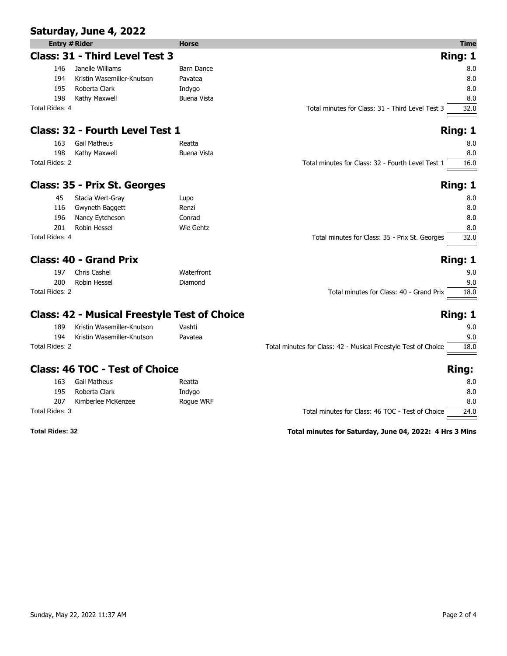|                      | Saturday, June 4, 2022          |                   |                                                           |
|----------------------|---------------------------------|-------------------|-----------------------------------------------------------|
| <b>Entry # Rider</b> |                                 | <b>Horse</b>      | <b>Time</b>                                               |
|                      | Class: 31 - Third Level Test 3  |                   | Ring: 1                                                   |
| 146                  | Janelle Williams                | <b>Barn Dance</b> | 8.0                                                       |
| 194                  | Kristin Wasemiller-Knutson      | Pavatea           | 8.0                                                       |
| 195                  | Roberta Clark                   | Indygo            | 8.0                                                       |
| 198                  | Kathy Maxwell                   | Buena Vista       | 8.0                                                       |
| Total Rides: 4       |                                 |                   | 32.0<br>Total minutes for Class: 31 - Third Level Test 3  |
|                      | Class: 32 - Fourth Level Test 1 |                   | Ring: 1                                                   |
| 163                  | Gail Matheus                    | Reatta            | 8.0                                                       |
| 198                  | Kathy Maxwell                   | Buena Vista       | 8.0                                                       |
| Total Rides: 2       |                                 |                   | Total minutes for Class: 32 - Fourth Level Test 1<br>16.0 |
|                      | Class: 35 - Prix St. Georges    |                   | Ring: 1                                                   |
| 45                   | Stacia Wert-Gray                | Lupo              | 8.0                                                       |
| 116                  | Gwyneth Baggett                 | Renzi             | 8.0                                                       |
| 196                  | Nancy Eytcheson                 | Conrad            | 8.0                                                       |
| 201                  | Robin Hessel                    | Wie Gehtz         | 8.0                                                       |
| Total Rides: 4       |                                 |                   | 32.0<br>Total minutes for Class: 35 - Prix St. Georges    |

### **Class: 40 - Grand Prix Ring: 1**

| 197            | Chris Cashel | Waterfront                               |      |
|----------------|--------------|------------------------------------------|------|
| 200            | Robin Hessel | Diamond                                  |      |
| Total Rides: 2 |              | Total minutes for Class: 40 - Grand Prix | 18.0 |

# **Class: 42 - Musical Freestyle Test of Choice Ring: 1**

| 189            | Kristin Wasemiller-Knutson | Vashti  |                                                                | 9.0  |
|----------------|----------------------------|---------|----------------------------------------------------------------|------|
| 194            | Kristin Wasemiller-Knutson | Pavatea |                                                                | 9.0  |
| Total Rides: 2 |                            |         | Total minutes for Class: 42 - Musical Freestyle Test of Choice | 18.0 |
|                |                            |         |                                                                |      |

# **Class: 46 TOC - Test of Choice Ring: Ring: Ring: Ring: Ring: Ring: Ring: Ring: Ring: Ring: Ring: Ring: Ring: Ring: Ring: Ring: Ring: Ring: Ring: Ring: Ring: Ring: Ring: Ring**

| 207<br>Total Didoo: 2 | Kimberlee McKenzee | Roque WRF | Total minutes for Class: 4C TOC. Took of Chaise | 8.0<br>24c     |
|-----------------------|--------------------|-----------|-------------------------------------------------|----------------|
|                       |                    |           |                                                 |                |
| 195                   | Roberta Clark      | Indygo    |                                                 | 8.0            |
| 163                   | Gail Matheus       | Reatta    |                                                 | 8 <sub>0</sub> |
|                       |                    |           |                                                 |                |

| 163            | Gail Matheus       | Reatta    |                                                  | 8.0  |
|----------------|--------------------|-----------|--------------------------------------------------|------|
| 195            | Roberta Clark      | Indygo    |                                                  | 8.0  |
| 207            | Kimberlee McKenzee | Roque WRF |                                                  | 8.0  |
| Total Rides: 3 |                    |           | Total minutes for Class: 46 TOC - Test of Choice | 24.0 |
|                |                    |           |                                                  |      |

**Total Rides: 32 Total minutes for Saturday, June 04, 2022: 4 Hrs 3 Mins**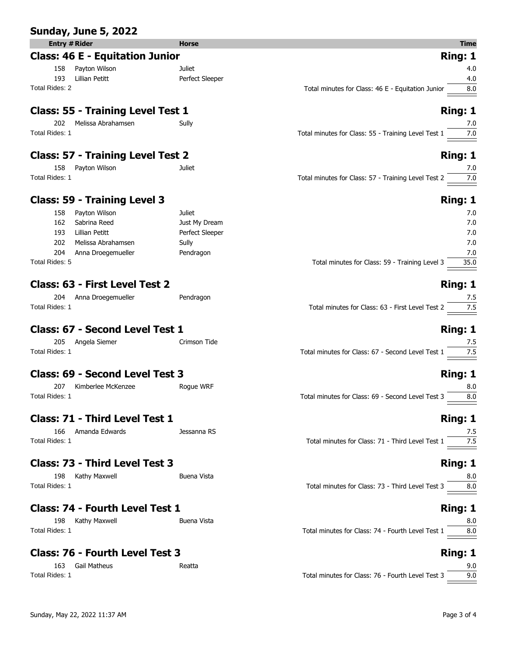| <b>Sunday, June 5, 2022</b>              |                 |                                                                      |
|------------------------------------------|-----------------|----------------------------------------------------------------------|
| <b>Entry # Rider</b>                     | <b>Horse</b>    | <b>Time</b>                                                          |
| <b>Class: 46 E - Equitation Junior</b>   |                 | Ring: 1                                                              |
| 158 Payton Wilson                        | <b>Juliet</b>   | 4.0                                                                  |
| 193 Lillian Petitt                       | Perfect Sleeper | 4.0                                                                  |
| Total Rides: 2                           |                 | 8.0<br>Total minutes for Class: 46 E - Equitation Junior             |
| <b>Class: 55 - Training Level Test 1</b> |                 | Ring: 1                                                              |
| 202 Melissa Abrahamsen                   | Sully           | 7.0                                                                  |
| Total Rides: 1                           |                 | Total minutes for Class: 55 - Training Level Test 1 7.0              |
| <b>Class: 57 - Training Level Test 2</b> |                 | <b>Ring: 1</b>                                                       |
| 158 Payton Wilson                        | Juliet          | 7.0                                                                  |
| Total Rides: 1                           |                 | Total minutes for Class: 57 - Training Level Test $2 \overline{7.0}$ |
| <b>Class: 59 - Training Level 3</b>      |                 | Ring: 1                                                              |
| 158 Payton Wilson                        | Juliet          | 7.0                                                                  |
| 162 Sabrina Reed                         | Just My Dream   | 7.0                                                                  |
| Lillian Petitt<br>193                    | Perfect Sleeper | 7.0                                                                  |
| 202<br>Melissa Abrahamsen                | Sully           | 7.0                                                                  |
| 204<br>Anna Droegemueller                | Pendragon       | 7.0                                                                  |
| Total Rides: 5                           |                 | 35.0<br>Total minutes for Class: 59 - Training Level 3               |
| Class: 63 - First Level Test 2           |                 | <b>Ring: 1</b>                                                       |
| 204 Anna Droegemueller                   | Pendragon       | 7.5                                                                  |
| Total Rides: 1                           |                 | Total minutes for Class: 63 - First Level Test 2 7.5                 |
| <b>Class: 67 - Second Level Test 1</b>   |                 | <b>Ring: 1</b>                                                       |
| 205 Angela Siemer                        | Crimson Tide    | 7.5                                                                  |
| Total Rides: 1                           |                 | Total minutes for Class: 67 - Second Level Test 1 7.5                |
| Class: 69 - Second Level Test 3          |                 | <b>Ring: 1</b>                                                       |
| 207 Kimberlee McKenzee                   | Rogue WRF       |                                                                      |
| Total Rides: 1                           |                 | Total minutes for Class: 69 - Second Level Test 3 8.0                |
| Class: 71 - Third Level Test 1           |                 | Ring: 1                                                              |
| Amanda Edwards<br>166                    | Jessanna RS     | 7.5                                                                  |
| Total Rides: 1                           |                 | 7.5<br>Total minutes for Class: 71 - Third Level Test 1              |
| Class: 73 - Third Level Test 3           |                 | Ring: 1                                                              |
| 198 Kathy Maxwell                        | Buena Vista     | 8.0                                                                  |
| Total Rides: 1                           |                 | Total minutes for Class: 73 - Third Level Test 3<br>8.0              |
| Class: 74 - Fourth Level Test 1          |                 | <b>Ring: 1</b>                                                       |
| 198 Kathy Maxwell                        | Buena Vista     | 8.0                                                                  |
| Total Rides: 1                           |                 | Total minutes for Class: 74 - Fourth Level Test 1<br>8.0             |
| Class: 76 - Fourth Level Test 3          |                 | Ring: 1                                                              |
| 163<br>Gail Matheus                      | Reatta          | 9.0                                                                  |
| Total Rides: 1                           |                 | Total minutes for Class: 76 - Fourth Level Test 3<br>9.0             |
|                                          |                 |                                                                      |